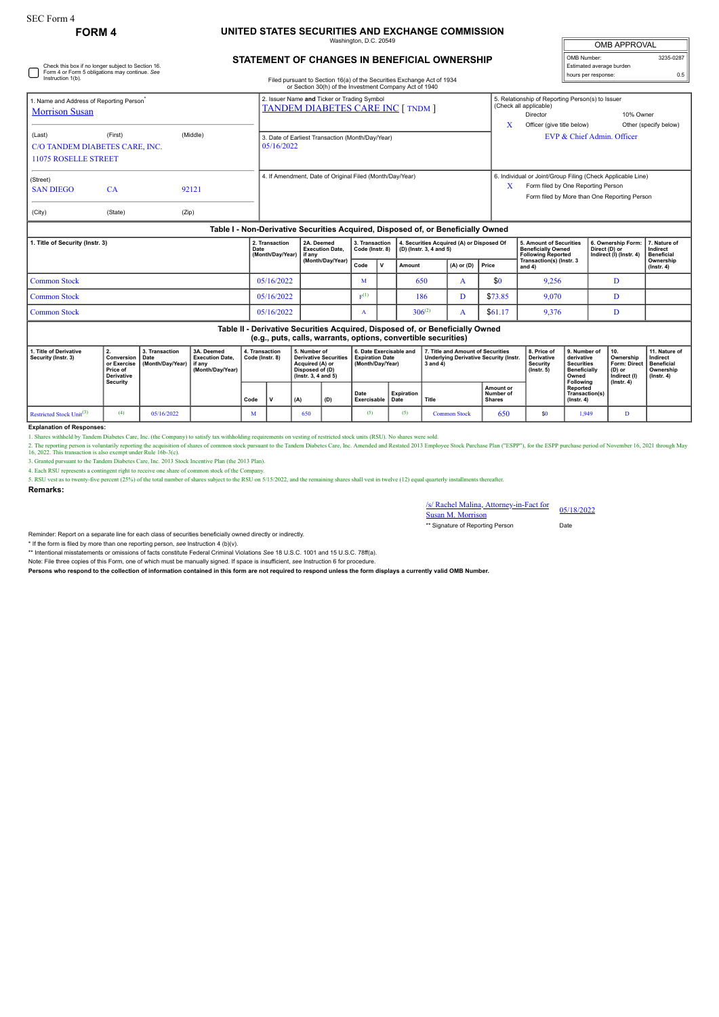Check this box if no longer subject to Section 16. Form 4 or Form 5 obligations may continue. *See* Instruction 1(b).

## **FORM 4 UNITED STATES SECURITIES AND EXCHANGE COMMISSION**

Washington, D.C. 20549

| <b>OMB APPROVAL</b>      |           |
|--------------------------|-----------|
| OMB Number:              | 3235-0287 |
| Estimated average burden |           |
| hours per response:      | 0.5       |

## **STATEMENT OF CHANGES IN BENEFICIAL OWNERSHIP**

Filed pursuant to Section 16(a) of the Securities Exchange Act of 1934

|                                                                              |                                           |                | or Section 30(h) of the Investment Company Act of 1940                                  |   |                                                                                                                                                            |  |  |  |  |
|------------------------------------------------------------------------------|-------------------------------------------|----------------|-----------------------------------------------------------------------------------------|---|------------------------------------------------------------------------------------------------------------------------------------------------------------|--|--|--|--|
| . Name and Address of Reporting Person <sup>*</sup><br><b>Morrison Susan</b> |                                           |                | 2. Issuer Name and Ticker or Trading Symbol<br><b>TANDEM DIABETES CARE INC [ TNDM ]</b> | X | 5. Relationship of Reporting Person(s) to Issuer<br>(Check all applicable)<br>10% Owner<br>Director<br>Other (specify below)<br>Officer (give title below) |  |  |  |  |
| (Last)<br><b>11075 ROSELLE STREET</b>                                        | (First)<br>C/O TANDEM DIABETES CARE, INC. | (Middle)       | 3. Date of Earliest Transaction (Month/Day/Year)<br>05/16/2022                          |   | EVP & Chief Admin. Officer                                                                                                                                 |  |  |  |  |
| (Street)<br><b>SAN DIEGO</b><br>(City)                                       | <b>CA</b><br>(State)                      | 92121<br>(Zip) | 4. If Amendment, Date of Original Filed (Month/Day/Year)                                | x | 6. Individual or Joint/Group Filing (Check Applicable Line)<br>Form filed by One Reporting Person<br>Form filed by More than One Reporting Person          |  |  |  |  |
|                                                                              |                                           |                | Table I - Non-Derivative Securities Acquired, Disposed of, or Beneficially Owned        |   |                                                                                                                                                            |  |  |  |  |

| 1. Title of Security (Instr. 3) | 2. Transaction<br>Date<br>(Month/Day/Year) if any | 2A. Deemed<br><b>Execution Date.</b> | 3. Transaction<br>Code (Instr. 8) |              | 4. Securities Acquired (A) or Disposed Of<br>$ $ (D) (lnstr. 3, 4 and 5) |                      |         | <b>5. Amount of Securities</b><br><b>Beneficially Owned</b><br><b>Following Reported</b> | 6. Ownership Form: 17. Nature of<br>Direct (D) or<br>Indirect (I) (Instr. 4) | Indirect<br><b>Beneficial</b> |
|---------------------------------|---------------------------------------------------|--------------------------------------|-----------------------------------|--------------|--------------------------------------------------------------------------|----------------------|---------|------------------------------------------------------------------------------------------|------------------------------------------------------------------------------|-------------------------------|
|                                 |                                                   | (Month/Dav/Year)                     | Code                              | $\mathbf{v}$ | <b>Amount</b>                                                            | $(A)$ or $(D)$ Price |         | Transaction(s) (Instr. 3<br>and 4)                                                       |                                                                              | Ownership<br>$($ lnstr. 4 $)$ |
| Common Stock                    | 05/16/2022                                        |                                      |                                   |              | 650                                                                      |                      | \$0     | 9,256                                                                                    |                                                                              |                               |
| Common Stock                    | 05/16/2022                                        |                                      | E(1)                              |              | 186                                                                      |                      | \$73.85 | 9,070                                                                                    |                                                                              |                               |
| Common Stock                    | 05/16/2022                                        |                                      |                                   |              | $306^{(2)}$                                                              |                      | \$61.17 | 9,376                                                                                    |                                                                              |                               |

**Table II - Derivative Securities Acquired, Disposed of, or Beneficially Owned (e.g., puts, calls, warrants, options, convertible securities)**

| 1. Title of Derivative<br>Security (Instr. 3) | or Exercise<br>Price of<br>Derivative | 3. Transaction<br>Conversion   Date<br>Month/Day/Year) if any | 3A. Deemed<br><b>Execution Date.</b><br>(Month/Dav/Year) | 4. Transaction<br>Code (Instr. 8) |  | 5. Number of<br><b>Derivative Securities</b><br>Acquired (A) or<br>Disposed of (D)<br>$($ lnstr. 3. 4 and 5 $)$ |     | 6. Date Exercisable and<br><b>Expiration Date</b><br>(Month/Day/Year) |                    | 7. Title and Amount of Securities<br><b>Underlying Derivative Security (Instr.</b><br>3 and 4) |                                                | 8. Price of<br><b>Derivative</b><br>Security<br>$($ lnstr $, 5)$ | 9. Number of<br>derivative<br><b>Securities</b><br><b>Beneficially</b><br>Owned | 10.<br>Ownership<br>Form: Direct   Beneficial<br>(D) or<br>Indirect (I) | 11. Nature of<br>Indirect<br>Ownership<br>$($ lnstr, 4 $)$ |
|-----------------------------------------------|---------------------------------------|---------------------------------------------------------------|----------------------------------------------------------|-----------------------------------|--|-----------------------------------------------------------------------------------------------------------------|-----|-----------------------------------------------------------------------|--------------------|------------------------------------------------------------------------------------------------|------------------------------------------------|------------------------------------------------------------------|---------------------------------------------------------------------------------|-------------------------------------------------------------------------|------------------------------------------------------------|
|                                               | Security                              |                                                               |                                                          | Code                              |  | (A)                                                                                                             | (D) | Date<br><b>Exercisable</b>                                            | Expiration<br>Date | Title                                                                                          | <b>Amount or</b><br>Number of<br><b>Shares</b> |                                                                  | Following<br>Reported<br>Transaction(s)<br>$($ lnstr, 4 $)$                     | $($ lnstr. 4 $)$                                                        |                                                            |
| Restricted Stock $Unit(3)$                    |                                       | 05/16/2022                                                    |                                                          | M                                 |  | 650                                                                                                             |     |                                                                       | (5)                | <b>Common Stock</b>                                                                            | 650                                            |                                                                  | 1.949                                                                           |                                                                         |                                                            |

**Explanation of Responses:**

1. Shares withheld by Tandem Diabetes Care, Inc. (the Company) to satisfy tax withholding requirements on vesting of restricted stock units (RSU). No shares were sold.

2. The reporting person is voluntarily reporting the acquisition of shares of common stock pursuant to the Tandem Diabetes Care, Inc. Amended and Restated 2013 Employee Stock Purchase Plan ("ESPP"), for the ESPP purchase p

4. Each RSU represents a contingent right to receive one share of common stock of the Compa

5. RSU vest as to twenty-five percent (25%) of the total number of shares subject to the RSU on 5/15/2022, and the remaining shares shall vest in twelve (12) equal quarterly installments thereafter.

**Remarks:**

/s/ Rachel Malina, Attorney-in-Fact for Susan M. Morrison 05/18/2022 \*\* Signature of Reporting Person Date

Reminder: Report on a separate line for each class of securities beneficially owned directly or indirectly.

\* If the form is filed by more than one reporting person, *see* Instruction 4 (b)(v). \*\* Intentional misstatements or omissions of facts constitute Federal Criminal Violations *See* 18 U.S.C. 1001 and 15 U.S.C. 78ff(a).

Note: File three copies of this Form, one of which must be manually signed. If space is insufficient, *see* Instruction 6 for procedure.

**Persons who respond to the collection of information contained in this form are not required to respond unless the form displays a currently valid OMB Number.**